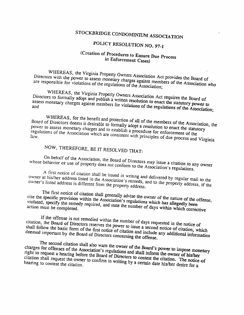### POLICY RESOLUTION NO. 97-1

# STOCKBRIDGE CONDOMINIUM ASSOCIATION<br>POLICY RESOLUTION NO. 97-1<br>(Creation of Procedures to Ensure Due Process<br>in Enforcement Cases) (Creation of Procedures to Ensure Due Process in Enforcement Cases)

WHEREAS, the Virginia Property Owners Association Act provides the Board of<br>Directors with the power to assess monetary charges against members of the Association who<br>are responsible for violations of the regulations of th

Directors to formally adopt and publish a written resolution to enact the statutory power to assess monetary charges against members for violations of the regulations of the Association;

WHEREAS, for the benefit and protection of all of the members of the Association, the<br>Board of Directors deems it desirable to formally adopt a resolution to enact the statutory<br>power to assess monetary charges and to esta

## NOW, THEREFORE, BE IT RESOLVED THAT:

whose behavior or use of property does not conform to the Association's regulations.

On behalf of the Association, the Board of Directors may issue a citation to any owner behavior or use of property does not conform to the Association's regulations.<br>A first notice of citation shall be issued in writing an owner at his/her address listed in the Association's records, and to the property address, if the owner's listed address is different from the property address.<br>The first notice of citation shall generally advise the owner

cite the specific provision within the Association's regulations which has allegedly been<br>violated, specify the remedy required, and state the number of days within which corrective

If the offense is not remedied within the number of days requested in the notice of<br>citation, the Board of Directors reserves the power to issue a second notice of citation, which<br>shall follow the basic form of the first n

The second citation shall also warn the owner of the Board's power to impose monetary charges for offenses of the Association's regulations and shall inform the owner of his/her right to request a hearing before the Board charges for offenses of the Association's regulations and shall inform the owner of his/her right to request a hearing before the Board of Directors to contest the owner of his/her citation shall request the owner to confirm in writing by a certain date his/her desire for a hearing to contest the citation. WHEREAS, the Virginial Property Owners Association Act provides the Board of<br>
Pirectors with the power to assess monetary charges against members of the Association who<br>
are responsible for violations of the regulations o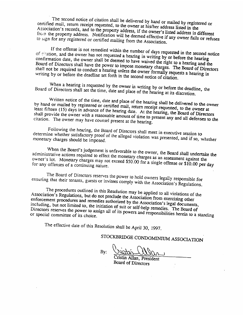The second notice of citation shall be delivered by hand or mailed by registered or<br>certified mail, return receipt requested, to the owner at his/her address listed in the<br>Association's records, and to the property address The second notice of citation shall be delivered by hand or mailed by registered or<br>I mail, return receipt requested, to the owner at higher additional Association's records, and to the property address, if the owner's listed address is different<br>from the property address. Notification will be deemed affective is. from the property address. Notification will be deemed effective if any owner fails or refuses<br>to sign for any registered or certified mailing from the Association. to sign for any registered or certified mailing from the Association.

of citation, and the owner has not requested a hearing in writing by or before the hearing<br>confirmation date, the owner shall be deemed to have united it. If the offense is not remedied within the number of days requested in the second notice<br>on, and the owner has not requested a hearing in unitial bases. confirmation date, the owner shall be deemed to have waived the right to a hearing and the<br>Board of Directors shall have the power to impose monetary change. The pearing and the Board of Directors shall have the power to impose monetary charges. The Board of Directors<br>shall not be required to conduct a hearing unless the owner formally access the Directors shall not be required to conduct a hearing unless the owner formally requests a hearing in writing by or before the deadline set forth in the second notice of citation. certured mail, return receipt requested, to the owner at his/her adress listed in the secociation's records, and to the property address. Notification will be deemed effective if any owner fails or refuses from the propert

Board of Directors shall set the time, When a hearing is requested by the owner in writing by or before the deadline, the date and place of the hearing at its discretion.

by hand or mailed by registered or certified mail, Written notice of the time, date and place of the hearing shall be delivered to the owner<br>of or mailed by registered or certified mail, return receipt requested, to the owner least fifteen (15) days in advance of the hearing date. At the hearing, the Board of Directors be of the hearing date. At the hearing, the Board of Directors<br>reasonable amount of time to present any and all defenses to the<br>counsel present at the hearing. citation. The owner may have counsel Written notice of the time, date and place of the hearing shall be delivered to the owner<br>by hand or mailed by registered or certified mail, return receipt requested, to the owner at<br>least fifteen (15) days in advance of t

determine whether satisfactory proof of the alleged violation was presented, and if so, whether<br>monetary charges should be imposed. Following the hearing, the Board of Directors shall meet in executive session to<br>ne whether satisfactory proof of the alleged violation monetary charges should be imposed.

When the Board's judgement is unfavorable administrative actions required to effect the monetary administrative actions required to effect the monetary charges as an assessment against the<br>owner's lot. Monetary charges may not exceed \$50.00 for a single offense as \$10.00 for for any offenses of a continuing nature. owner's lot. Monetary charges may not exceed \$50.00 for a single offense or \$10.00 per day

ensuring that their tenants, guests The Board of Directors reserves the power to hold owners legally responsible for<br>sts or invitees comply with the Association's Regulations.

Association's Regulations, but The procedures outlined in this Resolution may be applied to all violations of the tion's Regulations, but do not preclude the Association f enforcement procedures and Association s Regulations, but do not preclude the Association from exercising other enforcement procedures and remedies authorized by the Association's legal documents, including, but not limited to, the initiation of sui Directors reserves the power to assign all of its powers and responsibilities herein to a standing<br>Or special committee of its choice. limited to, the initiation of suit or self-help remedies. The Board of the power to assign all of its powers and near it. The Board of or special committee of its choice. First une bound is juggement is unfavorable to the owner, the Board shall undertake the<br>administrative actions required to effect the monetary charges as an assessment against the<br>owner's lot. Monetary charges may not exce

The effective date of this Resolution shall be April 30, 1997.

STOCKBRIDGE CONDOMINIUM ASSOCIATION

By:

Board of Directors